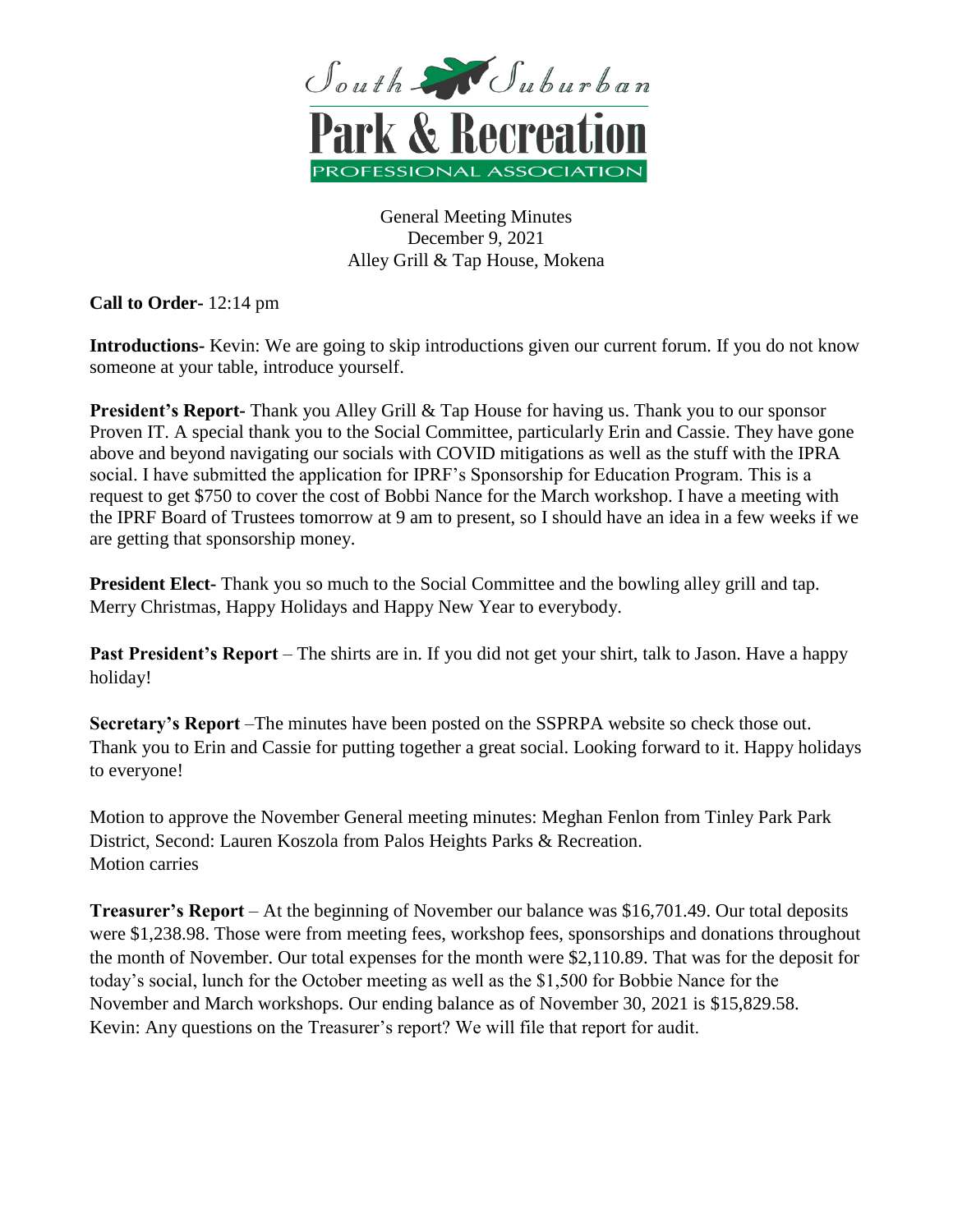

General Meeting Minutes December 9, 2021 Alley Grill & Tap House, Mokena

**Call to Order-** 12:14 pm

**Introductions-** Kevin: We are going to skip introductions given our current forum. If you do not know someone at your table, introduce yourself.

**President's Report-** Thank you Alley Grill & Tap House for having us. Thank you to our sponsor Proven IT. A special thank you to the Social Committee, particularly Erin and Cassie. They have gone above and beyond navigating our socials with COVID mitigations as well as the stuff with the IPRA social. I have submitted the application for IPRF's Sponsorship for Education Program. This is a request to get \$750 to cover the cost of Bobbi Nance for the March workshop. I have a meeting with the IPRF Board of Trustees tomorrow at 9 am to present, so I should have an idea in a few weeks if we are getting that sponsorship money.

**President Elect-** Thank you so much to the Social Committee and the bowling alley grill and tap. Merry Christmas, Happy Holidays and Happy New Year to everybody.

**Past President's Report** – The shirts are in. If you did not get your shirt, talk to Jason. Have a happy holiday!

**Secretary's Report** –The minutes have been posted on the SSPRPA website so check those out. Thank you to Erin and Cassie for putting together a great social. Looking forward to it. Happy holidays to everyone!

Motion to approve the November General meeting minutes: Meghan Fenlon from Tinley Park Park District, Second: Lauren Koszola from Palos Heights Parks & Recreation. Motion carries

**Treasurer's Report** – At the beginning of November our balance was \$16,701.49. Our total deposits were \$1,238.98. Those were from meeting fees, workshop fees, sponsorships and donations throughout the month of November. Our total expenses for the month were \$2,110.89. That was for the deposit for today's social, lunch for the October meeting as well as the \$1,500 for Bobbie Nance for the November and March workshops. Our ending balance as of November 30, 2021 is \$15,829.58. Kevin: Any questions on the Treasurer's report? We will file that report for audit.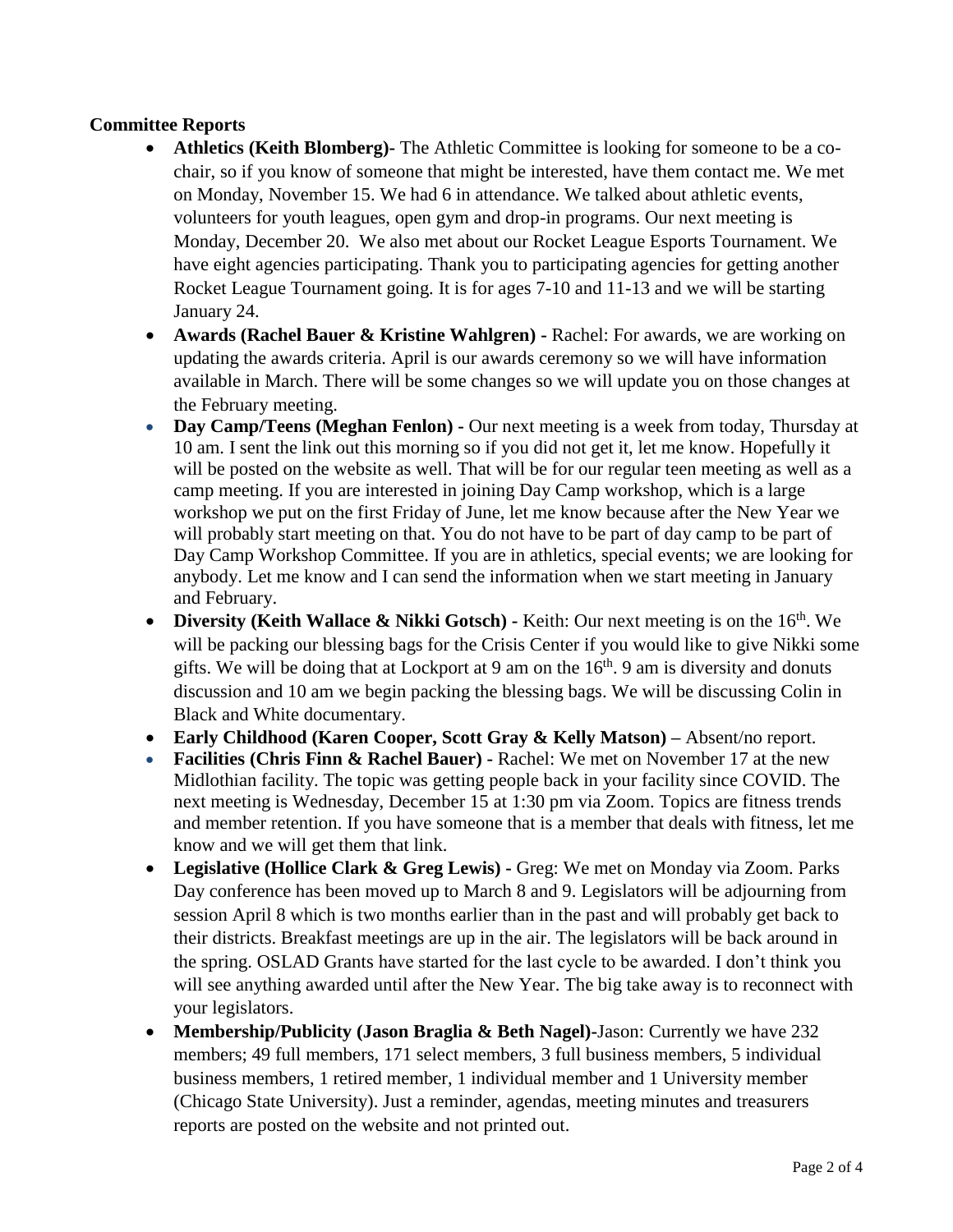## **Committee Reports**

- **Athletics (Keith Blomberg)-** The Athletic Committee is looking for someone to be a cochair, so if you know of someone that might be interested, have them contact me. We met on Monday, November 15. We had 6 in attendance. We talked about athletic events, volunteers for youth leagues, open gym and drop-in programs. Our next meeting is Monday, December 20. We also met about our Rocket League Esports Tournament. We have eight agencies participating. Thank you to participating agencies for getting another Rocket League Tournament going. It is for ages 7-10 and 11-13 and we will be starting January 24.
- **Awards (Rachel Bauer & Kristine Wahlgren) -** Rachel: For awards, we are working on updating the awards criteria. April is our awards ceremony so we will have information available in March. There will be some changes so we will update you on those changes at the February meeting.
- **Day Camp/Teens (Meghan Fenlon) -** Our next meeting is a week from today, Thursday at 10 am. I sent the link out this morning so if you did not get it, let me know. Hopefully it will be posted on the website as well. That will be for our regular teen meeting as well as a camp meeting. If you are interested in joining Day Camp workshop, which is a large workshop we put on the first Friday of June, let me know because after the New Year we will probably start meeting on that. You do not have to be part of day camp to be part of Day Camp Workshop Committee. If you are in athletics, special events; we are looking for anybody. Let me know and I can send the information when we start meeting in January and February.
- Diversity (Keith Wallace & Nikki Gotsch) Keith: Our next meeting is on the 16<sup>th</sup>. We will be packing our blessing bags for the Crisis Center if you would like to give Nikki some gifts. We will be doing that at Lockport at 9 am on the  $16<sup>th</sup>$ . 9 am is diversity and donuts discussion and 10 am we begin packing the blessing bags. We will be discussing Colin in Black and White documentary.
- **Early Childhood (Karen Cooper, Scott Gray & Kelly Matson) –** Absent/no report.
- **Facilities (Chris Finn & Rachel Bauer) -** Rachel: We met on November 17 at the new Midlothian facility. The topic was getting people back in your facility since COVID. The next meeting is Wednesday, December 15 at 1:30 pm via Zoom. Topics are fitness trends and member retention. If you have someone that is a member that deals with fitness, let me know and we will get them that link.
- **Legislative (Hollice Clark & Greg Lewis) -** Greg: We met on Monday via Zoom. Parks Day conference has been moved up to March 8 and 9. Legislators will be adjourning from session April 8 which is two months earlier than in the past and will probably get back to their districts. Breakfast meetings are up in the air. The legislators will be back around in the spring. OSLAD Grants have started for the last cycle to be awarded. I don't think you will see anything awarded until after the New Year. The big take away is to reconnect with your legislators.
- **Membership/Publicity (Jason Braglia & Beth Nagel)-**Jason: Currently we have 232 members; 49 full members, 171 select members, 3 full business members, 5 individual business members, 1 retired member, 1 individual member and 1 University member (Chicago State University). Just a reminder, agendas, meeting minutes and treasurers reports are posted on the website and not printed out.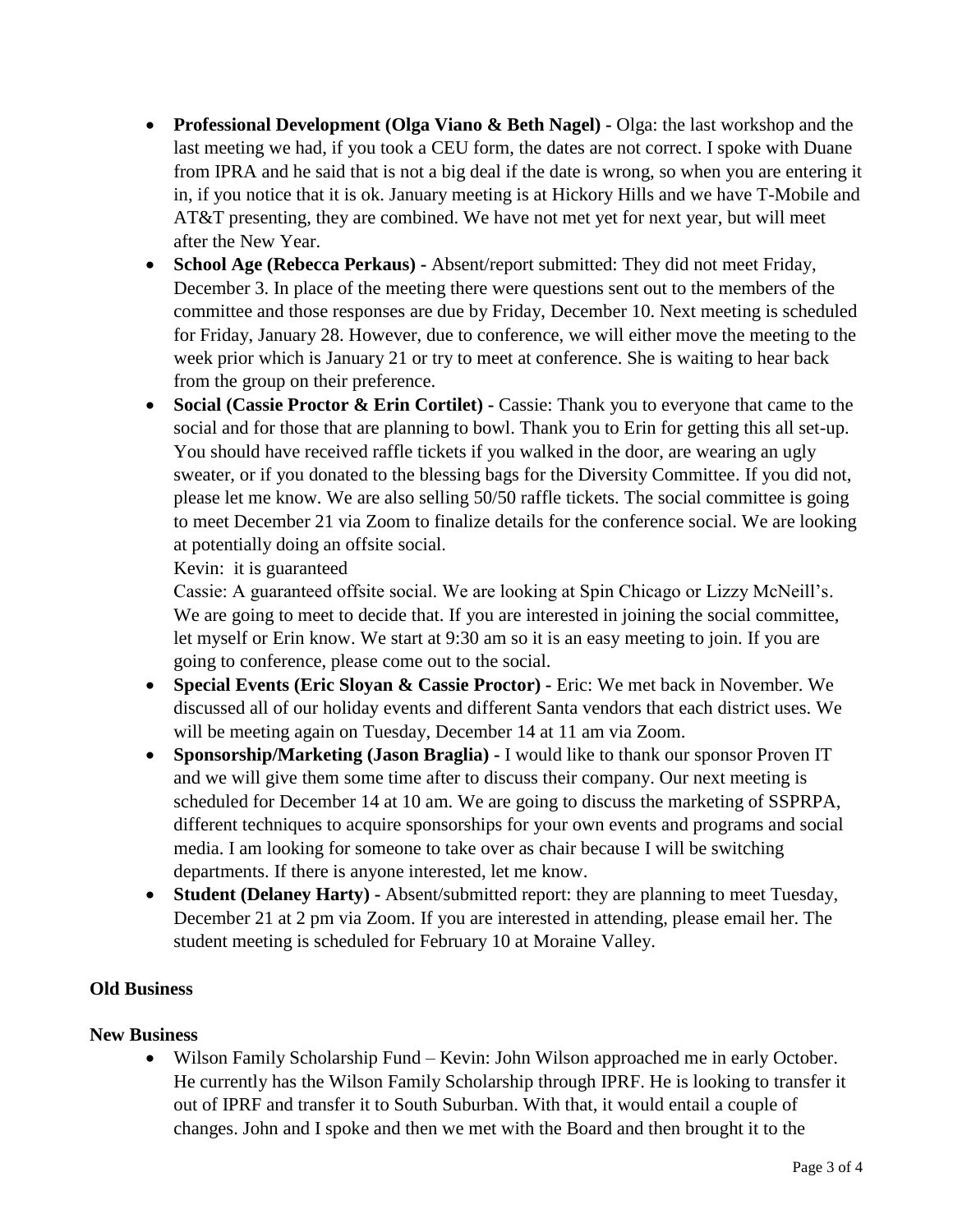- **Professional Development (Olga Viano & Beth Nagel) -** Olga: the last workshop and the last meeting we had, if you took a CEU form, the dates are not correct. I spoke with Duane from IPRA and he said that is not a big deal if the date is wrong, so when you are entering it in, if you notice that it is ok. January meeting is at Hickory Hills and we have T-Mobile and AT&T presenting, they are combined. We have not met yet for next year, but will meet after the New Year.
- **School Age (Rebecca Perkaus) -** Absent/report submitted: They did not meet Friday, December 3. In place of the meeting there were questions sent out to the members of the committee and those responses are due by Friday, December 10. Next meeting is scheduled for Friday, January 28. However, due to conference, we will either move the meeting to the week prior which is January 21 or try to meet at conference. She is waiting to hear back from the group on their preference.
- **Social (Cassie Proctor & Erin Cortilet) -** Cassie: Thank you to everyone that came to the social and for those that are planning to bowl. Thank you to Erin for getting this all set-up. You should have received raffle tickets if you walked in the door, are wearing an ugly sweater, or if you donated to the blessing bags for the Diversity Committee. If you did not, please let me know. We are also selling 50/50 raffle tickets. The social committee is going to meet December 21 via Zoom to finalize details for the conference social. We are looking at potentially doing an offsite social.

Kevin: it is guaranteed

Cassie: A guaranteed offsite social. We are looking at Spin Chicago or Lizzy McNeill's. We are going to meet to decide that. If you are interested in joining the social committee, let myself or Erin know. We start at 9:30 am so it is an easy meeting to join. If you are going to conference, please come out to the social.

- **Special Events (Eric Sloyan & Cassie Proctor) -** Eric: We met back in November. We discussed all of our holiday events and different Santa vendors that each district uses. We will be meeting again on Tuesday, December 14 at 11 am via Zoom.
- **Sponsorship/Marketing (Jason Braglia) -** I would like to thank our sponsor Proven IT and we will give them some time after to discuss their company. Our next meeting is scheduled for December 14 at 10 am. We are going to discuss the marketing of SSPRPA, different techniques to acquire sponsorships for your own events and programs and social media. I am looking for someone to take over as chair because I will be switching departments. If there is anyone interested, let me know.
- **Student (Delaney Harty) -** Absent/submitted report: they are planning to meet Tuesday, December 21 at 2 pm via Zoom. If you are interested in attending, please email her. The student meeting is scheduled for February 10 at Moraine Valley.

## **Old Business**

## **New Business**

 Wilson Family Scholarship Fund – Kevin: John Wilson approached me in early October. He currently has the Wilson Family Scholarship through IPRF. He is looking to transfer it out of IPRF and transfer it to South Suburban. With that, it would entail a couple of changes. John and I spoke and then we met with the Board and then brought it to the